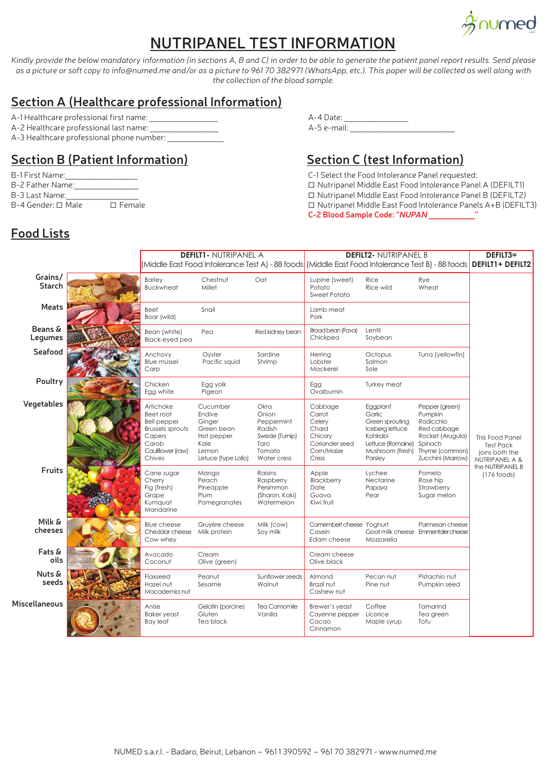

## **NUTRIPANEL TEST INFORMATION**

*Kindly provide the below mandatory information (in sections A, B and C) in order to be able to generate the patient panel report results. Send please as a picture or soft copy to info@numed.me and/or as a picture to 961 70 382971 (WhatsApp, etc.). This paper will be collected as well along with the collection of the blood sample.*

#### **Section A (Healthcare professional Information)**

- 
- A-2 Healthcare professional last name:
- A-3 Healthcare professional phone number:

### **Section B (Patient Information)**

- 
- 
- 
- 

# A-1 Healthcare professional first name: \_\_\_\_\_\_\_\_\_\_\_\_\_\_\_\_\_ A-4 Date: \_\_\_\_\_\_\_\_\_\_\_\_\_\_\_\_

### **Section C (test Information)**

- B-1 First Name: Cases and the Food Intolerance Panel requested:
- B-2 Father Name: <br>B-2 Father Name:  $\Box$  Nutripanel Middle East Food Intolerance Panel A (DEFILT1)
- B-3 Last Name:\_\_\_\_\_\_\_\_\_\_\_\_\_\_\_\_\_\_ Nutripanel Middle East Food Intolerance Panel B (DEFILT2)
- B-4 Gender:  $\Box$  Male  $\Box$  Female  $\Box$  Female  $\Box$  Nutripanel Middle East Food Intolerance Panels A+B (DEFILT3) **C-2 Blood Sample Code: "***NUPAN* **\_\_\_\_\_\_\_\_\_\_\_"**

## **Food Lists**

|                      | <b>DEFILT1- NUTRIPANEL A</b>                                                                                              |                                                                                                  |                                                                                          | <b>DEFILT2- NUTRIPANEL B</b><br>(Middle East Food Intolerance Test A) - 88 foods (Middle East Food Intolerance Test B) - 88 foods <b>DEFILT1 + DEFILT2</b> |                                                                                                                          |                                                                                                                             | DEFILT3=                                                                                                     |
|----------------------|---------------------------------------------------------------------------------------------------------------------------|--------------------------------------------------------------------------------------------------|------------------------------------------------------------------------------------------|------------------------------------------------------------------------------------------------------------------------------------------------------------|--------------------------------------------------------------------------------------------------------------------------|-----------------------------------------------------------------------------------------------------------------------------|--------------------------------------------------------------------------------------------------------------|
| Grains/<br>Starch    | <b>Barley</b><br><b>Buckwheat</b>                                                                                         | Chestnut<br>Millet                                                                               | Oat                                                                                      | Lupine (sweet)<br>Potato<br><b>Sweet Potato</b>                                                                                                            | Rice<br>Rice wild                                                                                                        | Rye<br>Wheat                                                                                                                |                                                                                                              |
| Meats                | Beef<br>Boar (wild)                                                                                                       | Snail                                                                                            |                                                                                          | Lamb meat<br>Pork                                                                                                                                          |                                                                                                                          |                                                                                                                             |                                                                                                              |
| Beans &<br>Legumes   | Bean (white)<br>Black-eyed pea                                                                                            | Pea                                                                                              | Red kidney bean                                                                          | Broad bean (Fava)<br>Chickpea                                                                                                                              | Lentil<br>Soybean                                                                                                        |                                                                                                                             | This Food Panel<br><b>Test Pack</b><br>joins both the<br>NUTRIPANEL A &<br>the NUTRIPANEL B<br>$(176$ foods) |
| Seafood              | Anchovy<br><b>Blue mussel</b><br>Carp                                                                                     | Oyster<br>Pacific squid                                                                          | Sardine<br>Shrimp                                                                        | Herring<br>Lobster<br>Mackerel                                                                                                                             | Octopus<br>Salmon<br>Sole                                                                                                | Tuna (yellowfin)                                                                                                            |                                                                                                              |
| Poultry              | Chicken<br>Egg white                                                                                                      | Egg yolk<br>Pigeon                                                                               |                                                                                          | Egg<br>Ovalbumin                                                                                                                                           | Turkey meat                                                                                                              |                                                                                                                             |                                                                                                              |
| Vegetables           | Artichoke<br>Beet root<br><b>Bell pepper</b><br><b>Brussels sprouts</b><br>Capers<br>Carob<br>Cauliflower (raw)<br>Chives | Cucumber<br>Endive<br>Ginger<br>Green bean<br>Hot pepper<br>Kale<br>Lemon<br>Letuce (type Lollo) | Okra<br>Onion<br>Peppermint<br>Radish<br>Swede (Turnip)<br>Taro<br>Tomato<br>Water cress | Cabbage<br>Carrot<br>Celery<br>Chard<br>Chicory<br>Coriander seed<br>Com/Maize<br>Cress                                                                    | Eggplant<br>Garlic<br>Green sprouting<br>Iceberg lettuce<br>Kohlrabi<br>Lettuce (Romaine)<br>Mushroom (fresh)<br>Parsley | Pepper (green)<br>Pumpkin<br>Radicchio<br>Red cabbage<br>Rocket (Arugula)<br>Spinach<br>Thyme (common)<br>Zucchini (Marrow) |                                                                                                              |
| Fruits               | Cane sugar<br>Cherry<br>Fig (fresh)<br>Grape<br>Kumquat<br>Mandarine                                                      | Mango<br>Peach<br>Pineapple<br>Plum<br>Pomegranates                                              | Raisins<br>Raspberry<br>Persimmon<br>(Sharon, Kaki)<br>Watermelon                        | Apple<br>Blackberry<br>Date<br>Guava<br>Kiwi fruit                                                                                                         | Lychee<br>Nectarine<br>Papaya<br>Pear                                                                                    | Pomelo<br>Rose hip<br>Strawberry<br>Sugar melon                                                                             |                                                                                                              |
| Milk &<br>cheeses    | <b>Blue cheese</b><br>Cheddar cheese<br>Cow whey                                                                          | Gruyère cheese<br>Milk protein                                                                   | Milk (cow)<br>Soy milk                                                                   | Camembert cheese Yoghurt<br>Casein<br>Edam cheese                                                                                                          | Mozzarella                                                                                                               | Parmesan cheese<br>Goat milk cheese Emmentaler cheese                                                                       |                                                                                                              |
| Fats &<br>oils       | Avocado<br>Coconut                                                                                                        | Cream<br>Olive (green)                                                                           |                                                                                          | Cream cheese<br>Olive black                                                                                                                                |                                                                                                                          |                                                                                                                             |                                                                                                              |
| Nuts &<br>seeds      | Flaxseed<br>Hazel nut<br>Macademia nut                                                                                    | Peanut<br>Sesame                                                                                 | Sunflower seeds<br>Walnut                                                                | Almond<br>Brazil nut<br>Cashew nut                                                                                                                         | Pecan nut<br>Pine nut                                                                                                    | Pistachio nut<br>Pumpkin seed                                                                                               |                                                                                                              |
| <b>Miscellaneous</b> | Anise<br><b>Baker</b> yeast<br><b>Bay leaf</b>                                                                            | Gelatin (porcine)<br>Gluten<br>Tea black                                                         | Tea Camomile<br>Vanilla                                                                  | Brewer's yeast<br>Cayenne pepper<br>Cacao<br>Cinnamon                                                                                                      | Coffee<br>Licorice<br>Maple syrup                                                                                        | Tamarind<br>Tea green<br>Tofu                                                                                               |                                                                                                              |